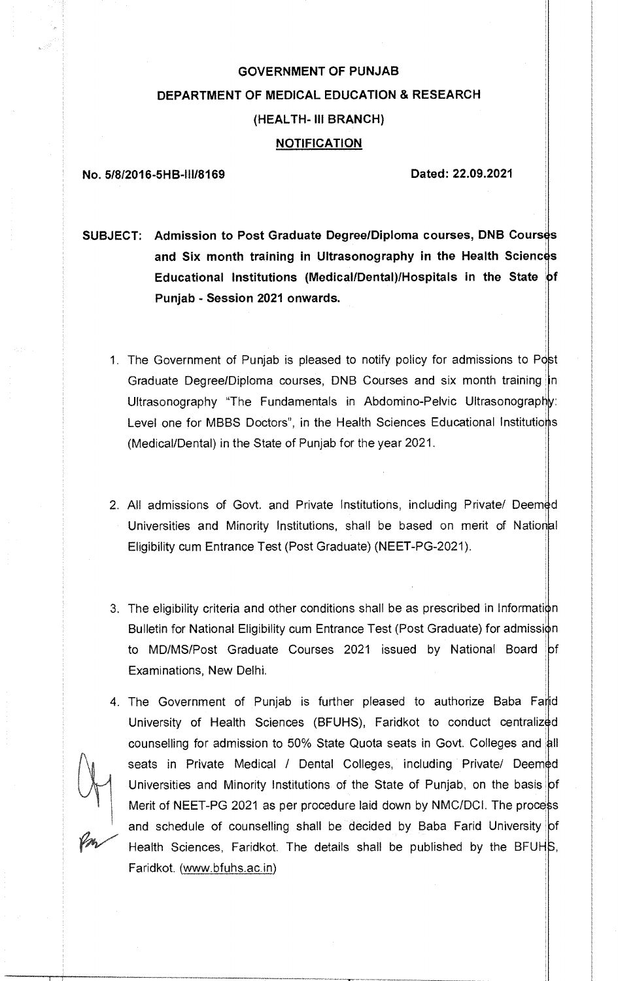# **GOVERNMENT OF PUNJAB DEPARTMENT OF MEDICAL EDUCATION & RESEARCH (HEALTH- III BRANCH) NOTIFICATION**

#### **No. 5/8/2016-5H B-111/8169 Dated: 22.09.2021**

**SUBJECT:** Admission to Post Graduate Degree/Diploma courses, DNB Courses and Six month training in Ultrasonography in the Health Sciences **Educational Institutions (Medical/Dental)/Hospitals in the State Punjab - Session 2021 onwards.** 

- 1. The Government of Punjab is pleased to notify policy for admissions to Post Graduate Degree/Diploma courses, DNB Courses and six month training in Ultrasonography "The Fundamentals in Abdomino-Pelvic Ultrasonography: Level one for MBBS Doctors", in the Health Sciences Educational Institutions (Medical/Dental) in the State of Punjab for the year 2021.
- 2. All admissions of Govt. and Private Institutions, including Private/ Deemed Universities and Minority Institutions, shall be based on merit of Nation Eligibility cum Entrance Test (Post Graduate) (NEET-PG-2021).
- 3. The eligibility criteria and other conditions shall be as prescribed in Information Bulletin for National Eligibility cum Entrance Test (Post Graduate) for admissi to MD/MS/Post Graduate Courses 2021 issued by National Board Examinations, New Delhi.
- 4. The Government of Punjab is further pleased to authorize Baba Farid University of Health Sciences (BFUHS), Faridkot to conduct centralized counselling for admission to 50% State Quota seats in Govt. Colleges and all seats in Private Medical / Dental Colleges, including Private/ Deemed Universities and Minority Institutions of the State of Punjab, on the basis of Merit of NEET-PG 2021 as per procedure laid down by NMC/DCI. The process and schedule of counselling shall be decided by Baba Farid University of Health Sciences, Faridkot. The details shall be published by the BFUHS, Faridkot, (www.bfuhs.ac.in)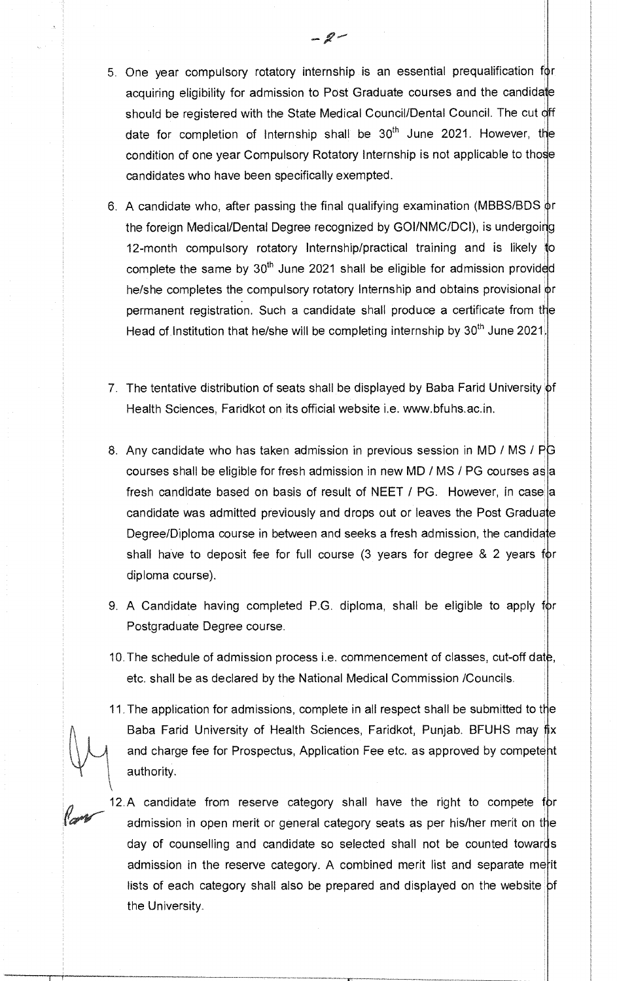- 5. One year compulsory rotatory internship is an essential prequalification acquiring eligibility for admission to Post Graduate courses and the candidate should be registered with the State Medical Council/Dental Council. The cut off date for completion of Internship shall be  $30<sup>th</sup>$  June 2021. However, the condition of one year Compulsory Rotatory Internship is not applicable to those candidates who have been specifically exempted.
- 6. A candidate who, after passing the final qualifying examination (MBBS/BDS  $\phi$ r the foreign Medical/Dental Degree recognized by GOI/NMC/DCI), is undergoing 12-month compulsory rotatory Internship/practical training and is likely to complete the same by  $30<sup>th</sup>$  June 2021 shall be eligible for admission provided he/she completes the compulsory rotatory Internship and obtains provisional or permanent registration. Such a candidate shall produce a certificate from the Head of Institution that he/she will be completing internship by 30<sup>th</sup> June 2021.
- 7. The tentative distribution of seats shall be displayed by Baba Farid University of Health Sciences, Faridkot on its official website i.e. www.bfuhs.ac.in.
- 8. Any candidate who has taken admission in previous session in MD / MS / PG courses shall be eligible for fresh admission in new MD / MS / PG courses as a fresh candidate based on basis of result of NEET  $/$  PG. However, in case a candidate was admitted previously and drops out or leaves the Post Graduate Degree/Diploma course in between and seeks a fresh admission, the candidate shall have to deposit fee for full course  $(3 \text{ years for degree } 8, 2 \text{ years for})$ diploma course).
- 9. A Candidate having completed P.G. diploma, shall be eligible to apply Postgraduate Degree course.
- 10. The schedule of admission process i.e. commencement of classes, cut-off dat etc. shall be as declared by the National Medical Commission /Councils.
- 11. The application for admissions, complete in all respect shall be submitted to the Baba Farid University of Health Sciences, Faridkot, Punjab. BFUHS may and charge fee for Prospectus, Application Fee etc. as approved by competent authority.
- 12.A candidate from reserve category shall have the right to compete for admission in open merit or general category seats as per his/her merit on the day of counselling and candidate so selected shall not be counted towards admission in the reserve category. A combined merit list and separate merit lists of each category shall also be prepared and displayed on the website  $|$ of the University.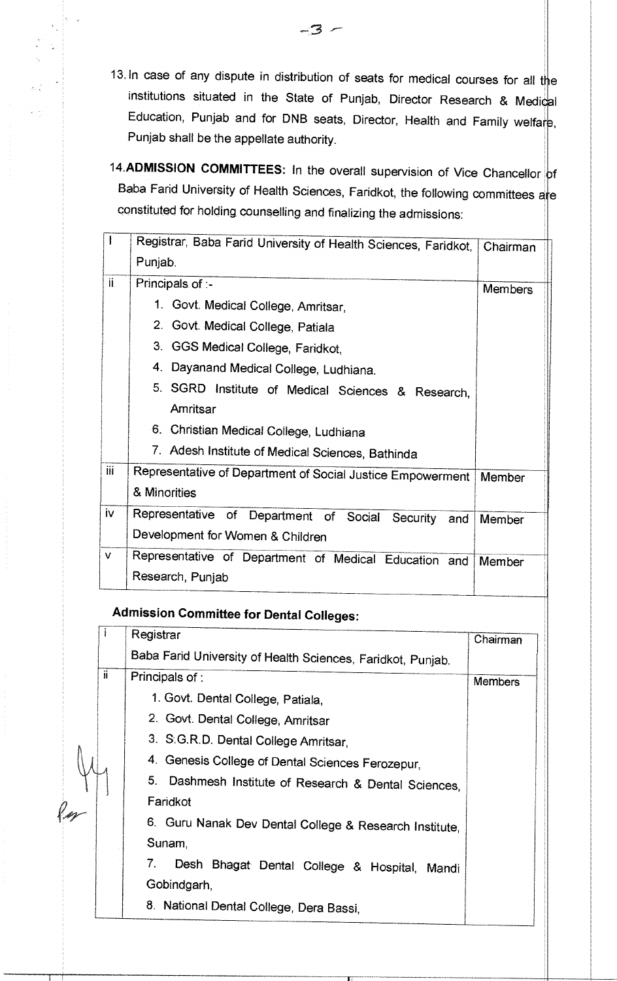- 13. In case of any dispute in distribution of seats for medical courses for all the institutions situated in the State of Punjab, Director Research & Medical Education, Punjab and for DNB seats, Director, Health and Family welfare, Punjab shall be the appellate authority.
- 14.ADMISSION COMMITTEES: In the overall supervision of Vice Chancellor of Baba Farid University of Health Sciences, Faridkot, the following committees are constituted for holding counselling and finalizing the admissions:

|     | Registrar, Baba Farid University of Health Sciences, Faridkot,            | Chairman       |
|-----|---------------------------------------------------------------------------|----------------|
|     | Punjab.                                                                   |                |
| ii. | Principals of :-                                                          | <b>Members</b> |
|     | 1. Govt. Medical College, Amritsar,                                       |                |
|     | 2. Govt. Medical College, Patiala                                         |                |
|     | 3. GGS Medical College, Faridkot,                                         |                |
|     | 4. Dayanand Medical College, Ludhiana.                                    |                |
|     | 5. SGRD Institute of Medical Sciences & Research,                         |                |
|     | Amritsar                                                                  |                |
|     | 6. Christian Medical College, Ludhiana                                    |                |
|     | 7. Adesh Institute of Medical Sciences, Bathinda                          |                |
| iii | Representative of Department of Social Justice Empowerment                | Member         |
|     | & Minorities                                                              |                |
| iv. | Representative of Department of Social<br>Security<br>and                 | Member         |
|     | Development for Women & Children                                          |                |
| V   | Representative of Department of Medical Education and<br>Research, Punjab | Member         |

# **Admission Committee for Dental Colleges:**

 $\ell$ 

|    | Registrar                                                   | Chairman       |
|----|-------------------------------------------------------------|----------------|
|    | Baba Farid University of Health Sciences, Faridkot, Punjab. |                |
| ji | Principals of:                                              | <b>Members</b> |
|    | 1. Govt. Dental College, Patiala,                           |                |
|    | 2. Govt. Dental College, Amritsar                           |                |
|    | 3. S.G.R.D. Dental College Amritsar,                        |                |
|    | 4. Genesis College of Dental Sciences Ferozepur,            |                |
|    | 5. Dashmesh Institute of Research & Dental Sciences,        |                |
|    | Faridkot                                                    |                |
|    | 6. Guru Nanak Dev Dental College & Research Institute,      |                |
|    | Sunam,                                                      |                |
|    | 7.<br>Desh Bhagat Dental College & Hospital,<br>Mandi       |                |
|    | Gobindgarh,                                                 |                |
|    | 8. National Dental College, Dera Bassi,                     |                |

 $-3-$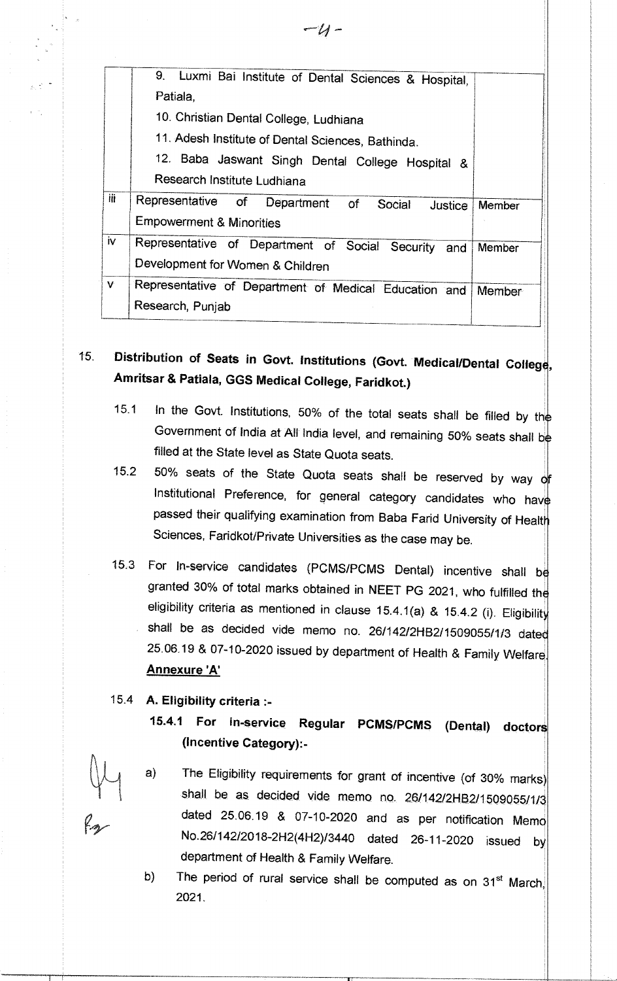|                | 9. Luxmi Bai Institute of Dental Sciences & Hospital,  |        |  |
|----------------|--------------------------------------------------------|--------|--|
|                | Patiala,                                               |        |  |
|                | 10. Christian Dental College, Ludhiana                 |        |  |
|                | 11. Adesh Institute of Dental Sciences, Bathinda.      |        |  |
|                | 12. Baba Jaswant Singh Dental College Hospital &       |        |  |
|                | Research Institute Ludhiana                            |        |  |
| iii            | Representative of Department of<br>Social<br>Justice   | Member |  |
|                | <b>Empowerment &amp; Minorities</b>                    |        |  |
| $\overline{N}$ | Representative of Department of Social Security<br>and | Member |  |
|                | Development for Women & Children                       |        |  |
| V              | Representative of Department of Medical Education and  | Member |  |
|                | Research, Punjab                                       |        |  |

15. Distribution of Seats in Govt. Institutions (Govt. Medical/Dental College, **Amritsar & Patiala, GGS Medical College, Faridkot.)** 

- 15.1 In the Govt. Institutions, 50% of the total seats shall be filled by the Government of India at All India level, and remaining 50% seats shall be filled at the State level as State Quota seats.
- 15.2 50% seats of the State Quota seats shall be reserved by way of Institutional Preference, for general category candidates who have passed their qualifying examination from Baba Farid University of Health Sciences, Faridkot/Private Universities as the case may be.
- 15.3 For In-service candidates (PCMS/PCMS Dental) incentive shall b granted 30% of total marks obtained in NEET PG 2021, who fulfilled the eligibility criteria as mentioned in clause 15.4.1(a) & 15.4.2 (i). Eligibility shall be as decided vide memo no. 26/142/2HB2/1509055/1/3 date 25.06.19 & 07-10-2020 issued by department of Health & Family Welfare **Annexure 'A'**
- 15.4 **A. Eligibility criteria :-** 
	- **15.4.1 For in-service Regular PCMS/PCMS (Dental) doctors (Incentive Category):-**
	- a) The Eligibility requirements for grant of incentive (of 30% marks) shall be as decided vide memo no. 26/142/2HB2/1509055/1/3 dated 25.06.19 & 07-10-2020 and as per notification Memo No.26/142/2018-2H2(4H2)/3440 dated 26-11-2020 issued by department of Health & Family Welfare.
	- b) The period of rural service shall be computed as on  $31<sup>st</sup>$  March, 2021.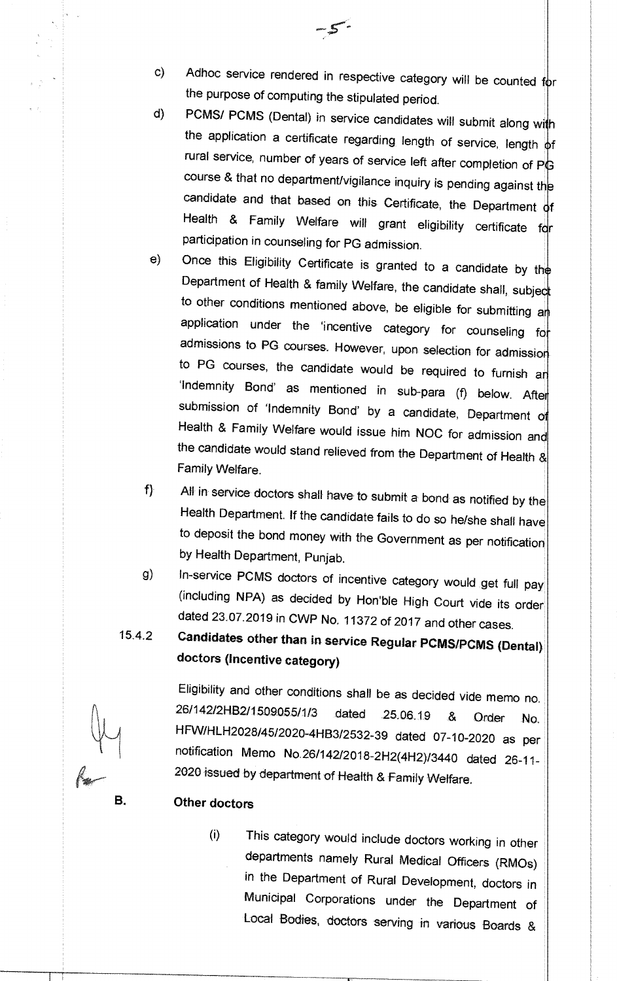- c) Adhoc service rendered in respective category will be counted for the purpose of computing the stipulated period.
- d) PCMS/ PCMS (Dental) in service candidates will submit along with the application a certificate regarding length of service, length of rural service, number of years of service left after completion of PG course & that no department/vigilance inquiry is pending against the candidate and that based on this Certificate, the Department of Health & Family Welfare will grant eligibility certificate for participation in counseling for PG admission.
- e) Once this Eligibility Certificate is granted to a candidate by the Department of Health & family Welfare, the candidate shall, subject to other conditions mentioned above, be eligible for submitting and application under the 'incentive category for counseling for admissions to PG courses. However, upon selection for admission to PG courses, the candidate would be required to furnish an 'Indemnity Bond' as mentioned in sub-para (f) below. After submission of 'Indemnity Bond' by a candidate, Department of Health & Family Welfare would issue him NOC for admission and the candidate would stand relieved from the Department of Health & Family Welfare.
- $f$ All in service doctors shall have to submit a bond as notified by the Health Department. If the candidate fails to do so he/she shall have to deposit the bond money with the Government as per notification by Health Department, Punjab.
- g) In-service PCMS doctors of incentive category would get full pay (including NPA) as decided by Hon'ble High Court vide its order dated 23.07.2019 in CWP No. 11372 of 2017 and other cases.
- 1.5.4.2 **Candidates other than in service Regular PCMS/PCMS (Dental} doctors (Incentive category)**

Eligibility and other conditions shall be as decided vide memo no. 26/142/2HB2/1509055/1/3 dated 25.06.19 & Order No. HFW/HLH2028/45/2020-4HB3/2532-39 dated 07-10-2020 as per notification Memo No.26/142/2018-2H2(4H2)/3440 dated 26-11- 2020 issued by department of Health & Family Welfare.

## **B. Other doctors**

(i) This category would include doctors working in other departments namely Rural Medical Officers (RMOs) in the Department of Rural Development, doctors in Municipal Corporations under the Department of Local Bodies, doctors serving in various Boards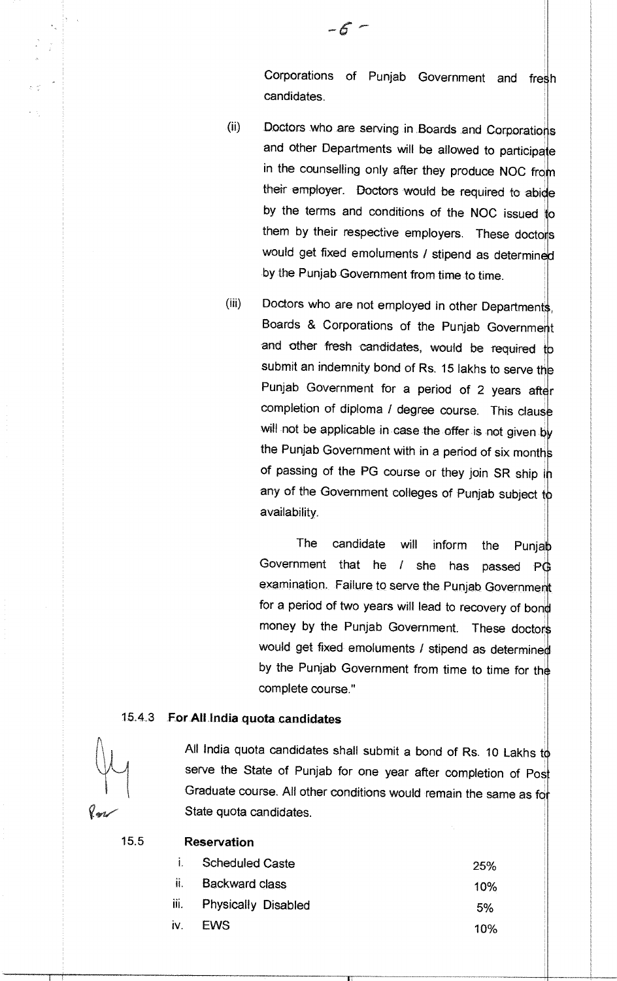Corporations of Punjab Government and fresh candidates.

- (ii) Doctors who are serving in Boards and Corporations and other Departments will be allowed to participate in the counselling only after they produce NOC from their employer. Doctors would be required to abide by the terms and conditions of the NOC issued to them by their respective employers. These doctors would get fixed emoluments / stipend as determined by the Punjab Government from time to time.
- (iii) Doctors who are not employed in other Departments, Boards & Corporations of the Punjab Governme and other fresh candidates, would be required to submit an indemnity bond of Rs. 15 lakhs to serve the Punjab Government for a period of 2 years after completion of diploma / degree course. This clause will not be applicable in case the offer is not given by the Punjab Government with in a period of six month of passing of the PG course or they join SR ship in any of the Government colleges of Punjab subject to availability.

The candidate will inform the Punjab Government that he / she has passed PG examination. Failure to serve the Punjab Government for a period of two years will lead to recovery of bon money by the Punjab Government. These doctors would get fixed emoluments / stipend as determined by the Punjab Government from time to time for the complete course."

## 15.4.3 **For All. India quota candidates**



All India quota candidates shall submit a bond of Rs. 10 Lakhs to serve the State of Punjab for one year after completion of Post Graduate course. All other conditions would remain the same as for State quota candidates.

#### 15.5 **Reservation**

| Scheduled Caste          | <b>25%</b> |
|--------------------------|------------|
| <b>Backward class</b>    | 10%        |
| iii. Physically Disabled | 5%         |
| <b>EWS</b>               | 10%        |
|                          |            |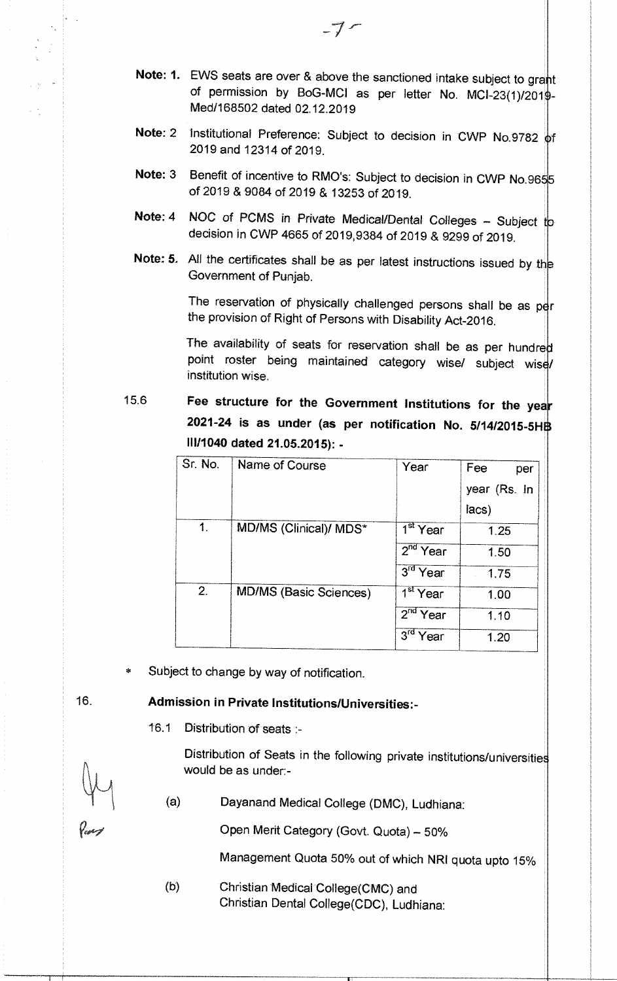- **Note: 1.** EWS seats are over & above the sanctioned intake subject to grant of permission by BoG-MCI as per letter No. MCI-23(1)/201 Med/168502 dated 02.12.2019
- Note: 2 Institutional Preference: Subject to decision in CWP No.9782 of 2019 and 12314 of 2019.
- **Note: 3** Benefit of incentive to RMO's: Subject to decision in CWP No.9655 of 2019 &9084 of 2019 & 13253 of 2019.
- Note: 4 NOC of PCMS in Private Medical/Dental Colleges Subject to decision in CWP 4665 of 2019,9384 of 2019 & 9299 of 2019.
- Note: 5. All the certificates shall be as per latest instructions issued by the Government of Punjab.

The reservation of physically challenged persons shall be as per the provision of Right of Persons with Disability Act-2016.

The availability of seats for reservation shall be as per hundred point roster being maintained category wise/ subject wise/ institution wise.

15.6 **Fee structure for the Government Institutions for the yea 2021-24 is as under (as per notification No. 5/1412015-5H 111/1040 dated 21.05.2015): -** 

| Sr. No.        | Name of Course                | Year                    | Fee<br>per   |
|----------------|-------------------------------|-------------------------|--------------|
|                |                               |                         | year (Rs. In |
|                |                               |                         | lacs)        |
| $\mathbf{1}$ . | MD/MS (Clinical)/ MDS*        | $1st$ Year              | 1.25         |
|                |                               | $2nd$ Year              | 1.50         |
|                |                               | $3rd$ Year              | 1.75         |
| 2.             | <b>MD/MS (Basic Sciences)</b> | $1st$ Year              | 1.00         |
|                |                               | $2nd$ Year              | 1.10         |
|                |                               | 3 <sup>rd</sup><br>Year | 1.20         |

Subject to change by way of notification.

## 16. **Admission in Private Institutions/Universities:-**

**16.1** Distribution of seats

Distribution of Seats in the following private institutions/universities would be as under:-

(a) Dayanand Medical College (DMC), Ludhiana:

Open Merit Category (Govt. Quota) — 50%

Management Quota 50% out of which NRI quota upto 15%

(b) Christian Medical College(CMC) and Christian Dental College(CDC), Ludhiana: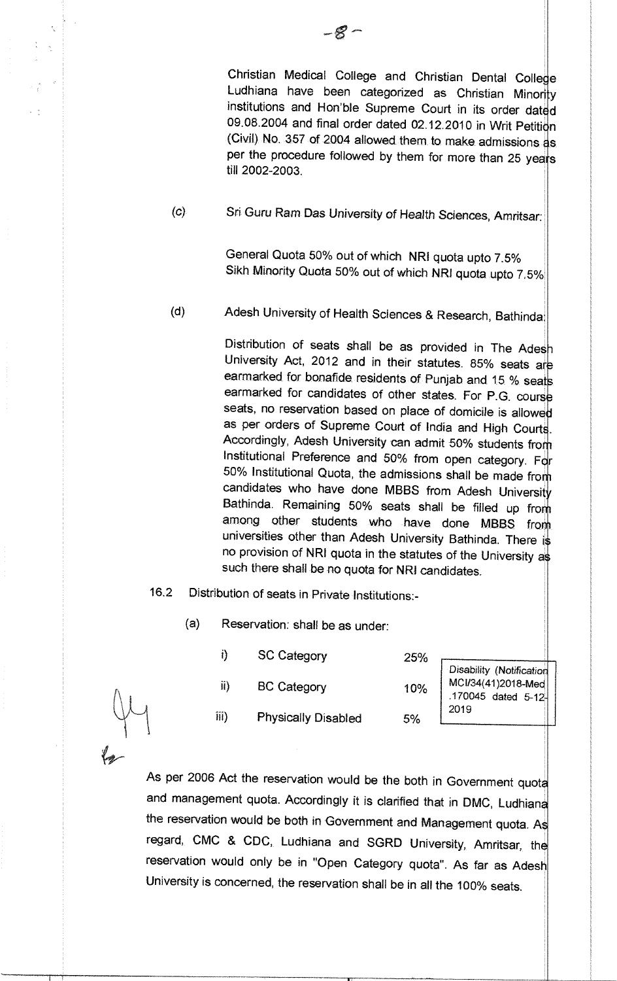Christian Medical College and Christian Dental College Ludhiana have been categorized as Christian Minority institutions and Hon'ble Supreme Court in its order dated 09.08.2004 and final order dated 02.12.2010 in Writ Petition (Civil) No. 357 of 2004 allowed them to make, admissions as per the procedure followed by them for more than 25 years till 2002-2003.

(c) Sri Guru Ram Das University of Health Sciences, Amritsar:

General Quota 50% out of which NRI quota upto 7.5% Sikh Minority Quota 50% out of which NR1 quota upto 7

(d) Adesh University of Health Sciences & Research, Bathinda

Distribution of seats shall be as provided in The Adesh University Act, 2012 and in their statutes. 85% seats are earmarked for bonafide residents of Punjab and 15 % seats earmarked for candidates of other states. For P.G. course seats, no reservation based on place of domicile is allowed as per orders of Supreme Court of India and High Courts. Accordingly, Adesh University can admit 50% students from Institutional Preference and 50% from open category. For 50% Institutional Quota, the admissions shall be made from candidates who have done MBBS from Adesh University Bathinda. Remaining 50% seats shall be filled up from among other students who have done MBBS from universities other than Adesh University Bathinda. There is no provision of NRI quota in the statutes of the University as such there shall be no quota for NRI candidates.

5%

- 16.2 Distribution of seats in Private Institutions:-
	- (a) Reservation: shall be as under:
		- $\ddot{\theta}$ SC Category 25% ii) BC Category 10%

Disability (Notification MCl/34(41)2018-Med .170045 dated 5-12'- 2019

iii) Physically Disabled

As per 2006 Act the reservation would be the both in Government quota and management quota. Accordingly it is clarified that in DMC, Ludhiana the reservation would be both in Government and Management quota. As regard, CMC & CDC, Ludhiana and SGRD University, Amritsar, the reservation would only be in "Open Category quota". As far as Adesh University is concerned, the reservation shall be in all the 100% seats.

 $\omega = \frac{1}{2}$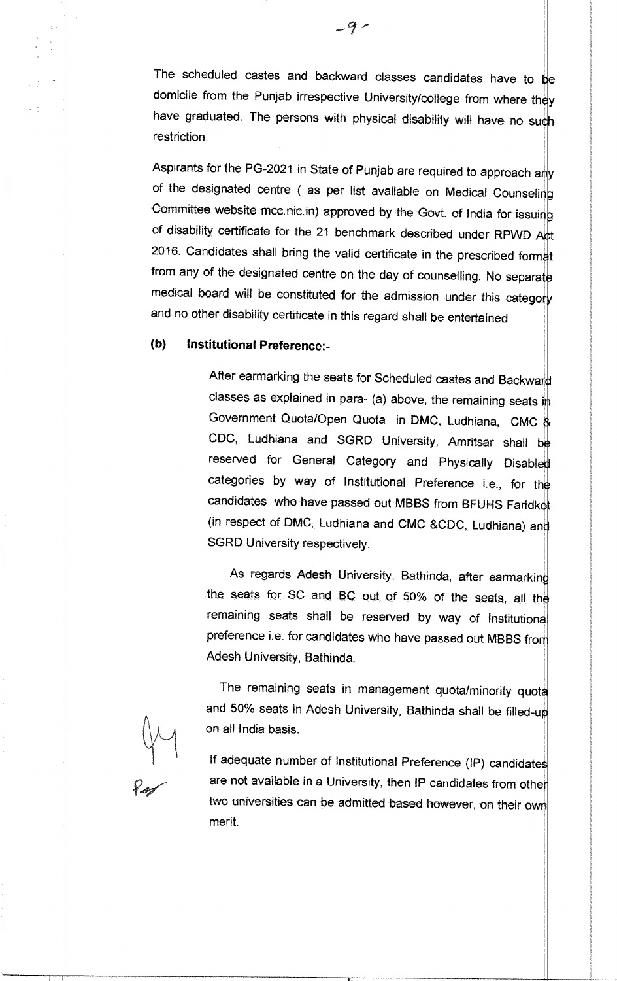The scheduled castes and backward classes candidates have to  $b$ e domicile from the Punjab irrespective University/college from where they have graduated. The persons with physical disability will have no such restriction.

Aspirants for the PG-2021 in State of Punjab are required to approach any of the designated centre ( as per list available on Medical Counseling Committee website mcc.nic.in) approved by the Govt. of India for issuing of disability certificate for the 21 benchmark described under RPWD Act 2016. Candidates shall bring the valid certificate in the prescribed format from any of the designated centre on the day of counselling. No separate medical board will be constituted for the admission under this category and no other disability certificate in this regard shall be entertained

## **(b) Institutional Preference:-**

**After** earmarking the seats for Scheduled castes and Backward classes as explained in para- (a) above, the remaining seats in Government Quota/Open Quota in DMC, Ludhiana, CMC & CDC, Ludhiana and SGRD University, Amritsar shall be reserved for General Category and Physically Disabled categories by way of Institutional Preference i.e., for the candidates who have passed out MBBS from BFUHS Faridkot (in respect of DMC, Ludhiana and CMC &CDC, Ludhiana) and SGRD University respectively.

As regards Adesh University, Bathinda, after earmarking the seats for SC and BC out of 50% of the seats, all the remaining seats shall be reserved by way of Institutiona preference i.e. for candidates who have passed out MBBS from Adesh University, Bathinda.

The remaining seats in management quota/minority quota and 50% seats in Adesh University, Bathinda shall be filled-up on all India basis.

If adequate number of Institutional Preference (IP) candidates are not available in a University, then **IP** candidates from other two universities can be admitted based however, on their own merit.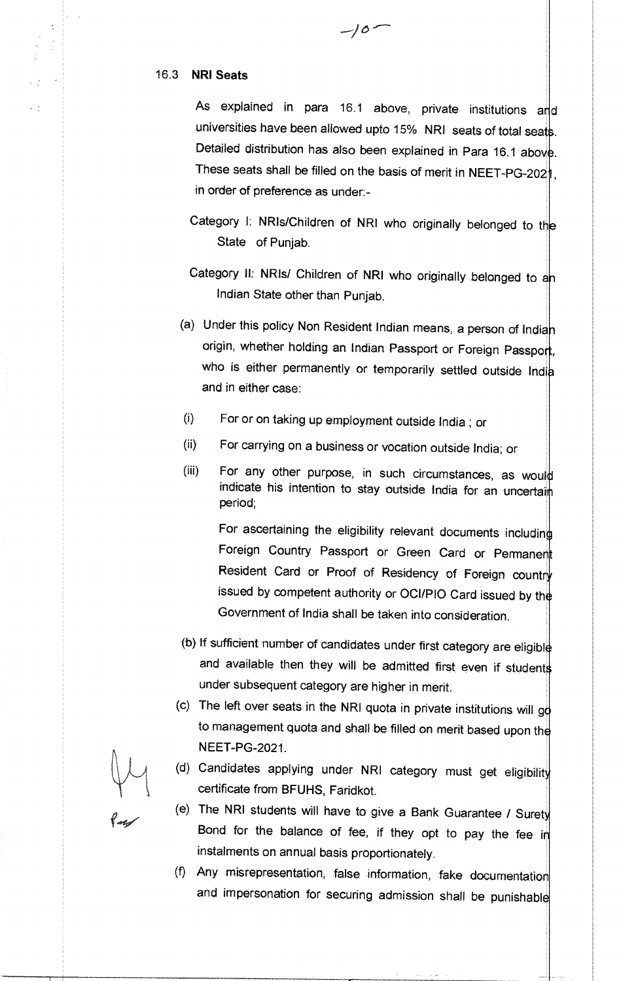#### **16.3 NRI Seats**

As explained in para 16.1 above, private institutions and universities have been allowed upto 15% NRI seats of total seats. Detailed distribution has also been explained in Para 16.1 above. These seats shall be filled on the basis of merit in NEET-PG-2021, in order of preference as under:-

 $-10$ 

- Category I: NRIs/Children of NRI who originally belonged to the State of Punjab.
- Category II: NRIs/ Children of NRI who originally belonged to an Indian State other than Punjab.
- (a) Under this policy Non Resident Indian means, a person of Indian origin, whether holding an Indian Passport or Foreign Passport, who is either permanently or temporarily settled outside India and in either case:
- For or on taking up employment outside India ; or  $(i)$
- (ii) For carrying on a business or vocation outside India; or
- (iii) For any other purpose, in such circumstances, as would indicate his intention to stay outside India for an uncertain period;

For ascertaining the eligibility relevant documents including Foreign Country Passport or Green Card or Permanent Resident Card or Proof of Residency of Foreign country issued by competent authority or OCl/P10 Card issued by th Government of India shall be taken into consideration.

- (b) If sufficient number of candidates under first category are eligibl and available then they will be admitted first even if students under subsequent category are higher in merit.
- (c) The left over seats in the NRI quota in private institutions will  $gd$ to management quota and shall be filled on merit based upon the NEET-PG-2021.
- (d) Candidates applying under NRI category must get eligibility certificate from BFUHS, Faridkot.
- (e) The NRI students will have to give a Bank Guarantee / Suret Bond for the balance of fee, if they opt to pay the fee in instalments on annual basis proportionately.
- (f) Any misrepresentation, false information, fake documentation and impersonation for securing admission shall be punishabl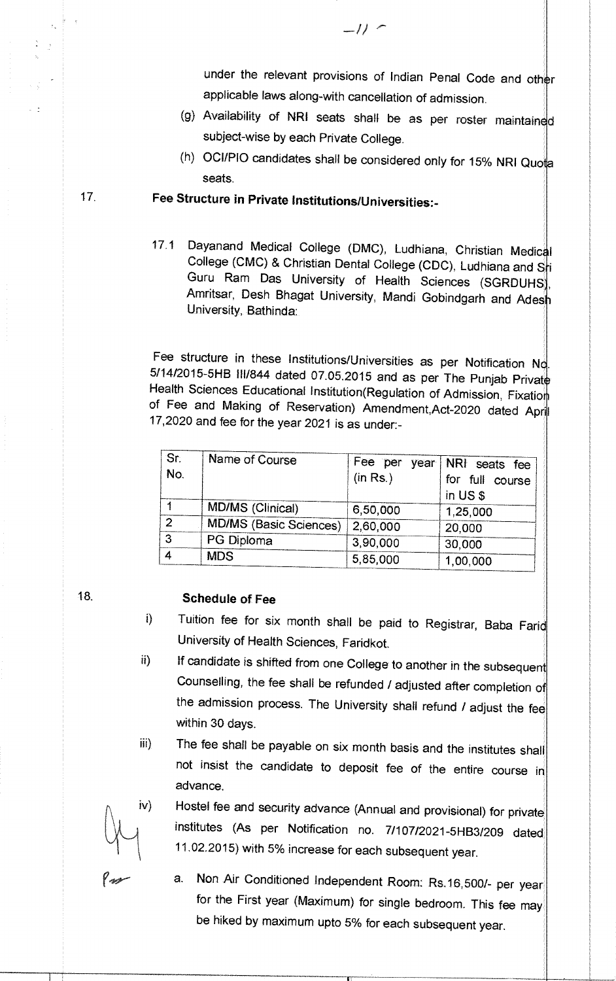under the relevant provisions of Indian Penal Code and other applicable laws along-with cancellation of admission.

- (g) Availability of **NRI** seats shall be as per roster maintain subject-wise by each Private College.
- (h) OCl/P10 candidates shall be considered only for 15% NRI Quo seats.

# 17. **Fee Structure in Private Institutions/Universities:-**

17.1 Dayanand Medical College (DMC), Ludhiana, Christian Medic College (CMC) & Christian Dental College (CDC), Ludhiana and Sti Guru Ram Das University of Health Sciences (SGRDUHS), Amritsar, Desh Bhagat University, Mandi Gobindgarh and Ades University, Bathinda:

Fee structure in these Institutions/Universities as per Notification No. 5/14/2015-5HB III/844 dated 07.05.2015 and as per The Punjab Privat Health Sciences Educational Institution(Regulation of Admission, Fixation of Fee and Making of Reservation) Amendment, Act-2020 dated April 17,2020 and fee for the year 2021 is as under:-

| 'Sr:<br>No.    | Name of Course                | Fee per year<br>(in Rs.) | NRI seats fee<br>for full course<br>in US \$ |
|----------------|-------------------------------|--------------------------|----------------------------------------------|
|                | MD/MS (Clinical)              | 6,50,000                 | 1,25,000                                     |
| $\overline{2}$ | <b>MD/MS (Basic Sciences)</b> | 2,60,000                 | 20,000                                       |
| 3              | PG Diploma                    | 3,90,000                 | 30,000                                       |
| $\overline{4}$ | <b>MDS</b>                    | 5,85,000                 | 1,00,000                                     |

# 18. **Schedule of Fee**

- i) Tuition fee for six month shall be paid to Registrar, Baba Farid University of Health Sciences, Faridkot.
- ii) If candidate is shifted from one College to another in the subsequent Counselling, the fee shall be refunded / adjusted after completion of the admission process. The University shall refund / adjust the fee within 30 days.
- iii) The fee shall be payable on six month basis and the institutes shall not insist the candidate to deposit fee of the entire course in advance.

iv) Hostel fee and security advance (Annual and provisional) for private institutes (As per Notification no. 7/107/2021-5HB3/209 dated 11.02.2015) with 5% increase for each subsequent year.

a. Non Air Conditioned Independent Room: Rs.16,500/- per year for the First year (Maximum) for single bedroom. This fee may be hiked by maximum upto 5% for each subsequent year.

 $-11$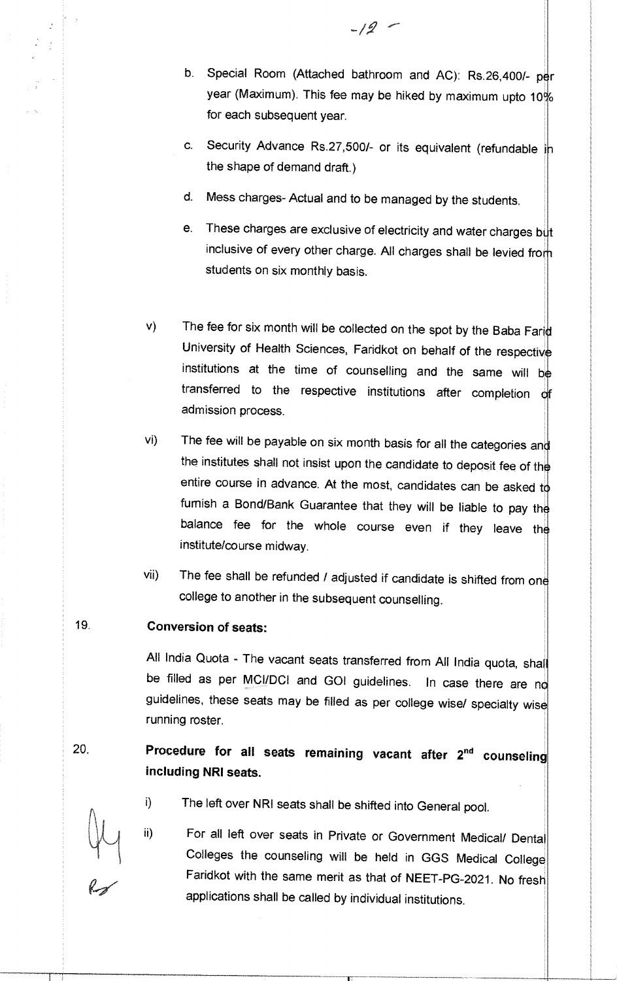- b. Special Room (Attached bathroom and AC): Rs.26,400/- per year (Maximum). This fee may be hiked by maximum upto 10% for each subsequent year.
- c. Security Advance Rs.27,500/- or its equivalent (refundable in the shape of demand draft.)
- d. Mess charges- Actual and to be managed by the students.
- e. These charges are exclusive of electricity and water charges  $b\ddot{\psi}t$ inclusive of every other charge. All charges shall be levied from students on six monthly basis.
- v) The fee for six month will be collected on the spot by the Baba Farid University of Health Sciences, Faridkot on behalf of the respectiv institutions at the time of counselling and the same will be transferred to the respective institutions after completion of admission process.
- The fee will be payable on six month basis for all the categories and  $Vi$ ) the institutes shall not insist upon the candidate to deposit fee of the entire course in advance. At the most, candidates can be asked to furnish a Bond/Bank Guarantee that they will be liable to pay the balance fee for the whole course even if they leave the institute/course midway.
- vii) The fee shall be refunded / adjusted if candidate is shifted from one college to another in the subsequent counselling.

## **19. Conversion of seats:**

All India Quota - The vacant seats transferred from All India quota, shall be filled as per MCI/DCI and GOI guidelines. In case there are no guidelines, these seats may be filled as per college wise/ specialty wise running roster.

# **20. Procedure for all seats remaining vacant after 2" counseling including NRI seats.**

- i) The left over NRI seats shall be shifted into General pool. ii)
	- For all left over seats in Private or Government Medical/ Dental Colleges the counseling will be held in GGS Medical College Faridkot with the same merit as that of NEET-PG-2021. No fresh applications shall be called by individual institutions.

 $-12$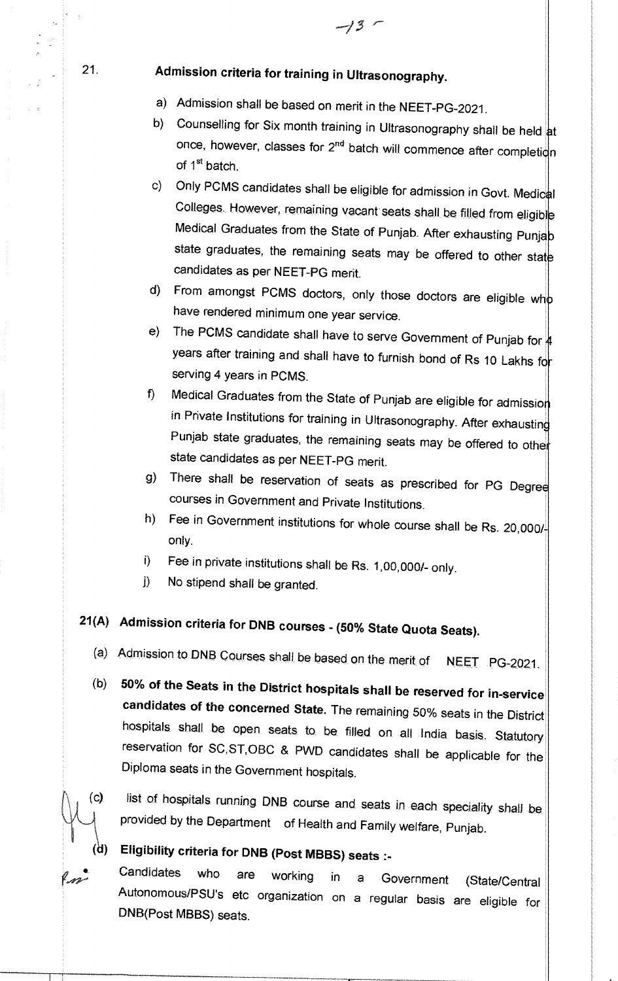# 21. **Admission criteria for training in Ultrasonography.**

- a) Admission shall be based on merit in the NEET-PG-2021.
- b) Counselling for Six month training in Ultrasonography shall be held at once, however, classes for  $2^{nd}$  batch will commence after completion of 1<sup>st</sup> batch.
- c) Only PCMS candidates shall be eligible for admission in Govt. Medical Colleges. However, remaining vacant seats shall be filled from eligible Medical Graduates from the State of Punjab. After exhausting Punja state graduates, the remaining seats may be offered to other state candidates as per NEET-PG merit.
- d) From amongst PCMS doctors, only those doctors are eligible who have rendered minimum one year service.
- e) The PCMS candidate shall have to serve Government of Punjab for  $\sharp$ years after training and shall have to furnish bond of Rs 10 Lakhs to serving 4 years in PCMS.
- f) Medical Graduates from the State of Punjab are eligible for admissio in Private Institutions for training in Ultrasonography. After exhausting Punjab state graduates, the remaining seats may be offered to other state candidates as per NEET-PG merit.
- g) There shall be reservation of seats as prescribed for PG Degree courses in Government and Private Institutions.
- h) Fee in Government institutions for whole course shall be Rs. 20,000/only.
- Fee in private institutions shall be Rs. 1,00,000/- only.  $\ddot{\mathbf{i}}$
- No stipend shall be granted.  $\bf{D}$

# **21(A) Admission criteria for DNB courses - (50% State Quota Seats).**

- (a) Admission to DNB Courses shall be based on the merit of NEET PG-2021
- **(b) 50% of the Seats in the District hospitals shall be reserved for in-service candidates of the concerned State.** The remaining 50% seats in the District hospitals shall be open seats to be filled on all India basis. Statutory reservation for SC,ST,OBC & PWD candidates shall be applicable for the Diploma seats in the Government hospitals.
- 
- (c) list of hospitals running DNB course and seats in each speciality shall be provided by the Department of Health and Family welfare, Punjab.

**(d) Eligibility criteria for DNB (Post MBBS) seats :-** 

**Candidates** who are working in a Government (State/Central Autonomous/PSU's etc organization on a regular basis are eligible for DNB(Post MBBS) seats.

-13 '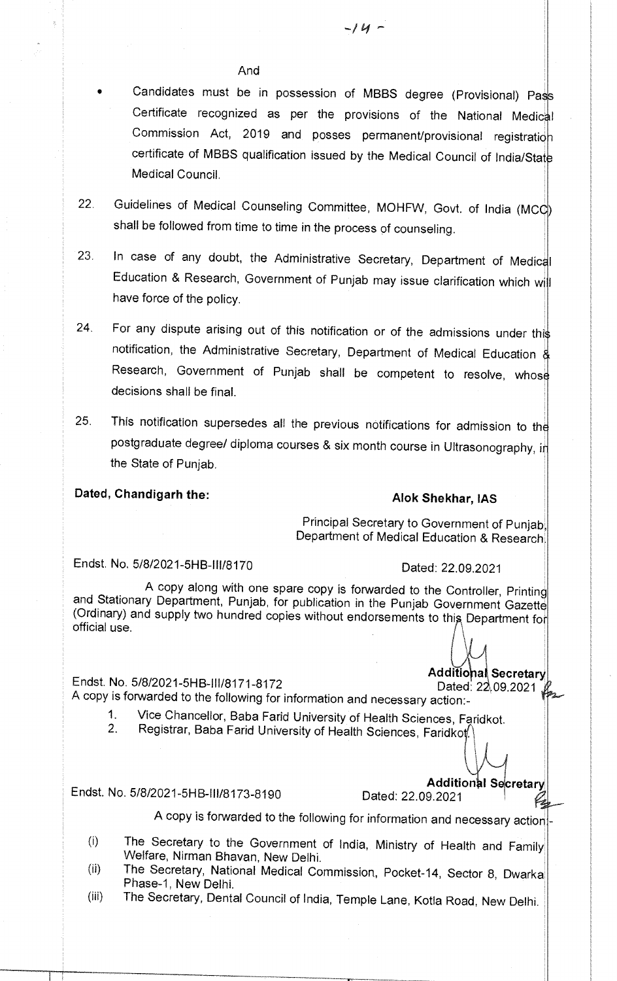### And

• Candidates must be in possession of **MBBS** degree (Provisional) Pa Certificate recognized as per the provisions of the National Medic Commission Act, 2019 and posses permanent/provisional registratio certificate of MBBS qualification issued by the Medical Council of India/Stat Medical Council.

- 22. Guidelines of Medical Counseling Committee, MOHFW, Govt. of India (MCC) shall be followed from time to time in the process of counseling.
- 23. In case of any doubt, the Administrative Secretary, Department of Medical Education & Research, Government of Punjab may issue clarification which wi have force of the policy.
- 24. For any dispute arising out of this notification or of the admissions under this notification, the Administrative Secretary, Department of Medical Education & Research, Government of Punjab shall be competent to resolve, whose decisions shall be final.
- 25. This notification supersedes all the previous notifications for admission to th postgraduate degree/ diploma courses & six month course in Ultrasonography, in the State of Punjab.

# **Dated, Chandigarh the: Alok Shekhar, IAS**

Principal Secretary to Government of Punjab, Department of Medical Education & Research.

Endst. No, 5/8/2021-5HB-I11/8170 Dated: 22,09,2021

A copy along with one spare copy is forwarded to the Controller, Printing and Stationary Department, Punjab, for publication in the Punjab Government Gazette (Ordinary) and supply two hundred copies without endorsements to this Department for official use.

**Additional Secretary**<br>Endst. No. 5/8/2021-5HB-III/8171-8172 Dated: 22,09.2021 A copy is forwarded to the following for information and necessary action:-

- 1. Vice Chancellor, Baba Farid University of Health Sciences, Faridkot.<br>2. Registrar, Baba Farid University of Health Sciences, Faridkot
- Registrar, Baba Farid University of Health Sciences, Faridkot.

Endst. No. 5/8/2021-5HB-III/8173-8190

**Additional Secretary**<br>22.09.2021

A copy is forwarded to the following for information and necessary action

- The Secretary to the Government of India, Ministry of Health and Family  $(i)$ Welfare, Nirman Bhavan, New Delhi.
- The Secretary, National Medical Commission, Pocket-14, Sector 8, Dwarka  $(ii)$ Phase-1, New Delhi.
- (iii) The Secretary, Dental Council of India, Temple Lane, Kotla Road, New Delhi.